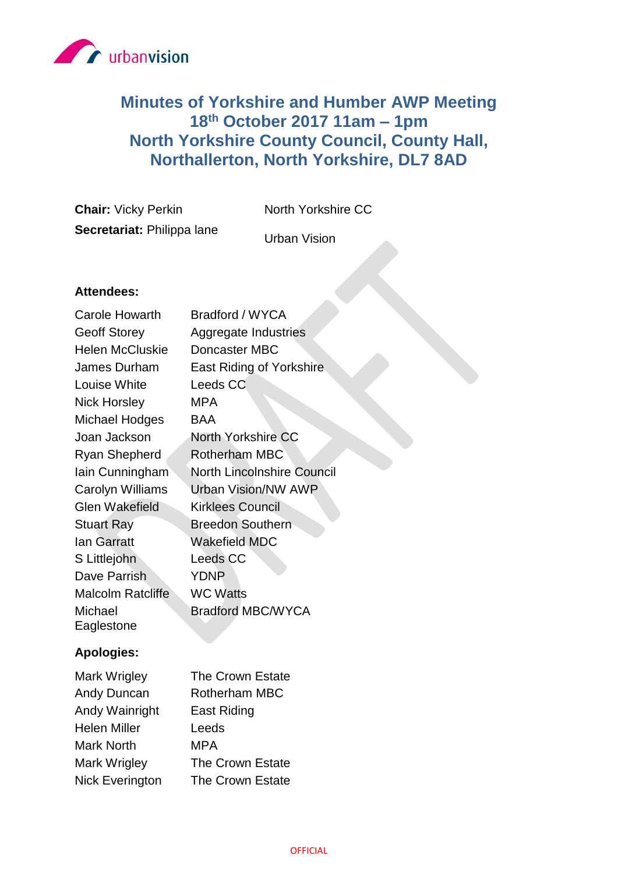

# **Minutes of Yorkshire and Humber AWP Meeting 18th October 2017 11am – 1pm North Yorkshire County Council, County Hall, Northallerton, North Yorkshire, DL7 8AD**

**Chair:** Vicky Perkin North Yorkshire CC **Secretariat:** Philippa lane

Urban Vision

## **Attendees:**

| Carole Howarth           | Bradford / WYCA                   |
|--------------------------|-----------------------------------|
| <b>Geoff Storey</b>      | Aggregate Industries              |
| <b>Helen McCluskie</b>   | Doncaster MBC                     |
| James Durham             | <b>East Riding of Yorkshire</b>   |
| Louise White             | Leeds CC                          |
| <b>Nick Horsley</b>      | MPA                               |
| <b>Michael Hodges</b>    | BAA                               |
| Joan Jackson             | North Yorkshire CC                |
| <b>Ryan Shepherd</b>     | <b>Rotherham MBC</b>              |
| lain Cunningham          | <b>North Lincolnshire Council</b> |
| <b>Carolyn Williams</b>  | Urban Vision/NW AWP               |
| <b>Glen Wakefield</b>    | <b>Kirklees Council</b>           |
| <b>Stuart Ray</b>        | <b>Breedon Southern</b>           |
| <b>lan Garratt</b>       | Wakefield MDC                     |
| S Littlejohn             | <b>Leeds CC</b>                   |
| Dave Parrish             | <b>YDNP</b>                       |
| <b>Malcolm Ratcliffe</b> | <b>WC Watts</b>                   |
| Michael<br>Eaglestone    | <b>Bradford MBC/WYCA</b>          |
|                          |                                   |

## **Apologies:**

| Mark Wrigley           | The Crown Estate     |
|------------------------|----------------------|
| <b>Andy Duncan</b>     | <b>Rotherham MBC</b> |
| Andy Wainright         | <b>East Riding</b>   |
| <b>Helen Miller</b>    | Leeds                |
| <b>Mark North</b>      | <b>MPA</b>           |
| Mark Wrigley           | The Crown Estate     |
| <b>Nick Everington</b> | The Crown Estate     |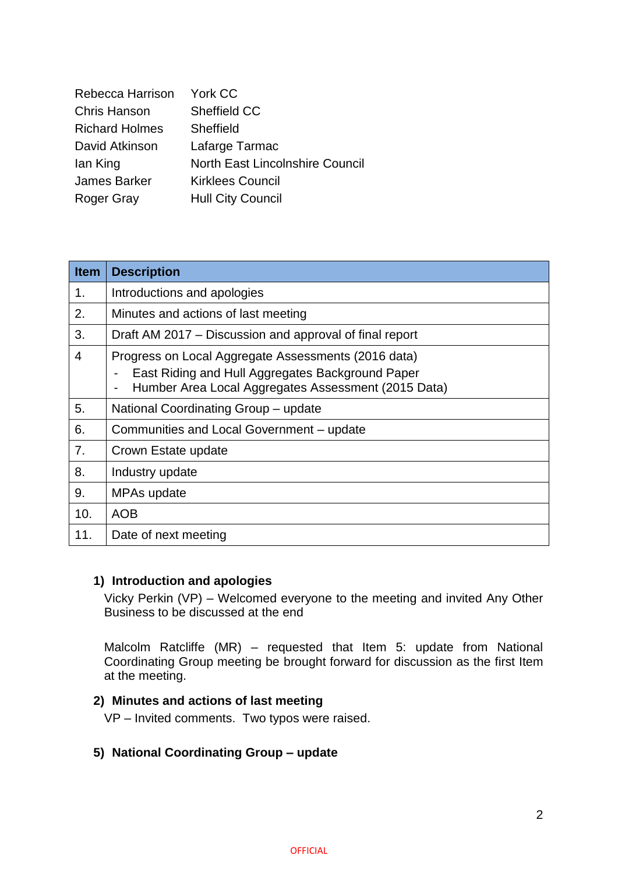| Rebecca Harrison      | York CC                                |
|-----------------------|----------------------------------------|
| <b>Chris Hanson</b>   | <b>Sheffield CC</b>                    |
| <b>Richard Holmes</b> | Sheffield                              |
| David Atkinson        | Lafarge Tarmac                         |
| lan King              | <b>North East Lincolnshire Council</b> |
| James Barker          | <b>Kirklees Council</b>                |
| <b>Roger Gray</b>     | <b>Hull City Council</b>               |

| <b>Item</b> | <b>Description</b>                                                                                                                                             |
|-------------|----------------------------------------------------------------------------------------------------------------------------------------------------------------|
| 1.          | Introductions and apologies                                                                                                                                    |
| 2.          | Minutes and actions of last meeting                                                                                                                            |
| 3.          | Draft AM 2017 – Discussion and approval of final report                                                                                                        |
| 4           | Progress on Local Aggregate Assessments (2016 data)<br>East Riding and Hull Aggregates Background Paper<br>Humber Area Local Aggregates Assessment (2015 Data) |
| 5.          | National Coordinating Group - update                                                                                                                           |
| 6.          | Communities and Local Government – update                                                                                                                      |
| 7.          | Crown Estate update                                                                                                                                            |
| 8.          | Industry update                                                                                                                                                |
| 9.          | MPAs update                                                                                                                                                    |
| 10.         | <b>AOB</b>                                                                                                                                                     |
| 11.         | Date of next meeting                                                                                                                                           |

#### **1) Introduction and apologies**

Vicky Perkin (VP) – Welcomed everyone to the meeting and invited Any Other Business to be discussed at the end

Malcolm Ratcliffe (MR) – requested that Item 5: update from National Coordinating Group meeting be brought forward for discussion as the first Item at the meeting.

## **2) Minutes and actions of last meeting**

VP – Invited comments. Two typos were raised.

#### **5) National Coordinating Group – update**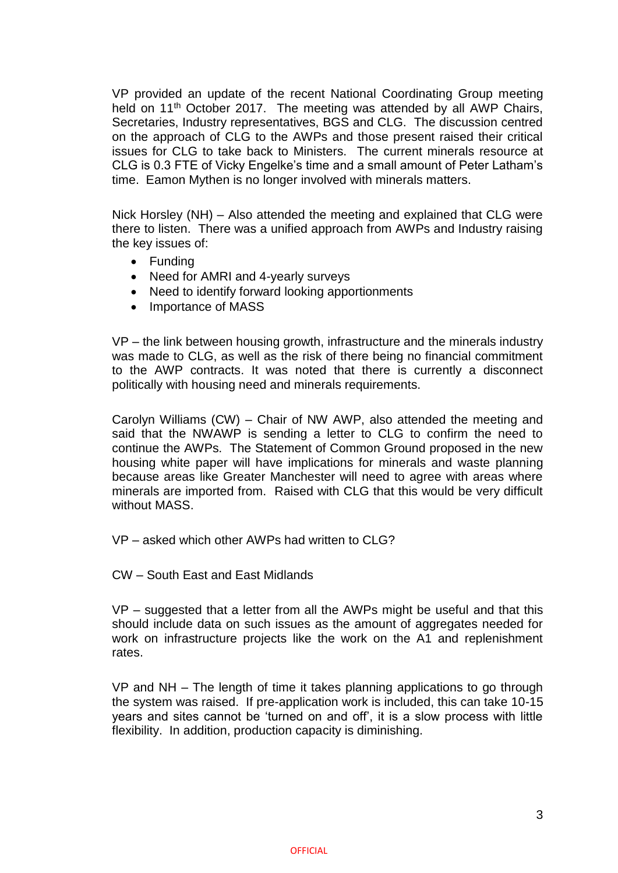VP provided an update of the recent National Coordinating Group meeting held on 11<sup>th</sup> October 2017. The meeting was attended by all AWP Chairs, Secretaries, Industry representatives, BGS and CLG. The discussion centred on the approach of CLG to the AWPs and those present raised their critical issues for CLG to take back to Ministers. The current minerals resource at CLG is 0.3 FTE of Vicky Engelke's time and a small amount of Peter Latham's time. Eamon Mythen is no longer involved with minerals matters.

Nick Horsley (NH) – Also attended the meeting and explained that CLG were there to listen. There was a unified approach from AWPs and Industry raising the key issues of:

- Funding
- Need for AMRI and 4-yearly surveys
- Need to identify forward looking apportionments
- Importance of MASS

VP – the link between housing growth, infrastructure and the minerals industry was made to CLG, as well as the risk of there being no financial commitment to the AWP contracts. It was noted that there is currently a disconnect politically with housing need and minerals requirements.

Carolyn Williams (CW) – Chair of NW AWP, also attended the meeting and said that the NWAWP is sending a letter to CLG to confirm the need to continue the AWPs. The Statement of Common Ground proposed in the new housing white paper will have implications for minerals and waste planning because areas like Greater Manchester will need to agree with areas where minerals are imported from. Raised with CLG that this would be very difficult without MASS.

VP – asked which other AWPs had written to CLG?

CW – South East and East Midlands

VP – suggested that a letter from all the AWPs might be useful and that this should include data on such issues as the amount of aggregates needed for work on infrastructure projects like the work on the A1 and replenishment rates.

VP and NH – The length of time it takes planning applications to go through the system was raised. If pre-application work is included, this can take 10-15 years and sites cannot be 'turned on and off', it is a slow process with little flexibility. In addition, production capacity is diminishing.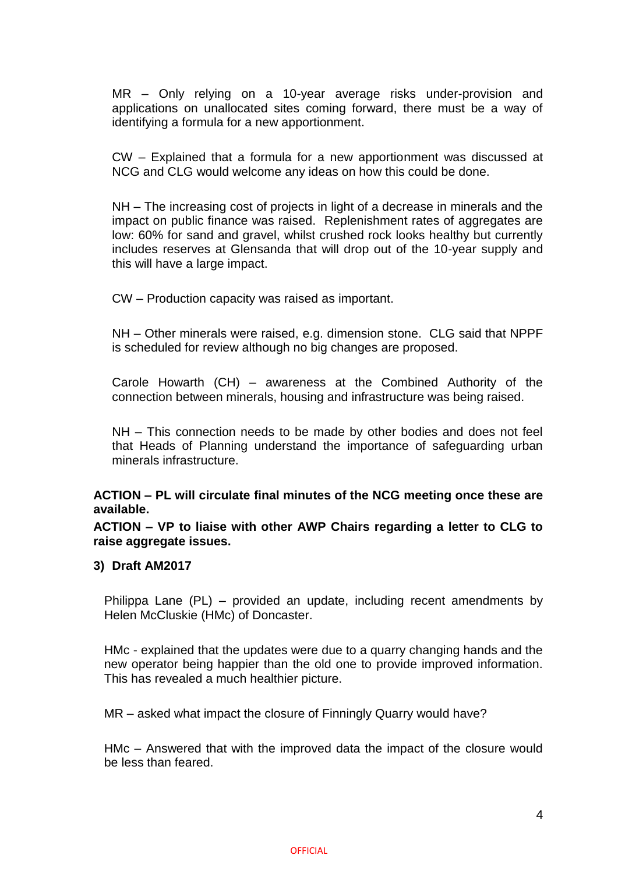MR – Only relying on a 10-year average risks under-provision and applications on unallocated sites coming forward, there must be a way of identifying a formula for a new apportionment.

CW – Explained that a formula for a new apportionment was discussed at NCG and CLG would welcome any ideas on how this could be done.

NH – The increasing cost of projects in light of a decrease in minerals and the impact on public finance was raised. Replenishment rates of aggregates are low: 60% for sand and gravel, whilst crushed rock looks healthy but currently includes reserves at Glensanda that will drop out of the 10-year supply and this will have a large impact.

CW – Production capacity was raised as important.

NH – Other minerals were raised, e.g. dimension stone. CLG said that NPPF is scheduled for review although no big changes are proposed.

Carole Howarth (CH) – awareness at the Combined Authority of the connection between minerals, housing and infrastructure was being raised.

NH – This connection needs to be made by other bodies and does not feel that Heads of Planning understand the importance of safeguarding urban minerals infrastructure.

**ACTION – PL will circulate final minutes of the NCG meeting once these are available.**

**ACTION – VP to liaise with other AWP Chairs regarding a letter to CLG to raise aggregate issues.**

#### **3) Draft AM2017**

Philippa Lane (PL) – provided an update, including recent amendments by Helen McCluskie (HMc) of Doncaster.

HMc - explained that the updates were due to a quarry changing hands and the new operator being happier than the old one to provide improved information. This has revealed a much healthier picture.

MR – asked what impact the closure of Finningly Quarry would have?

HMc – Answered that with the improved data the impact of the closure would be less than feared.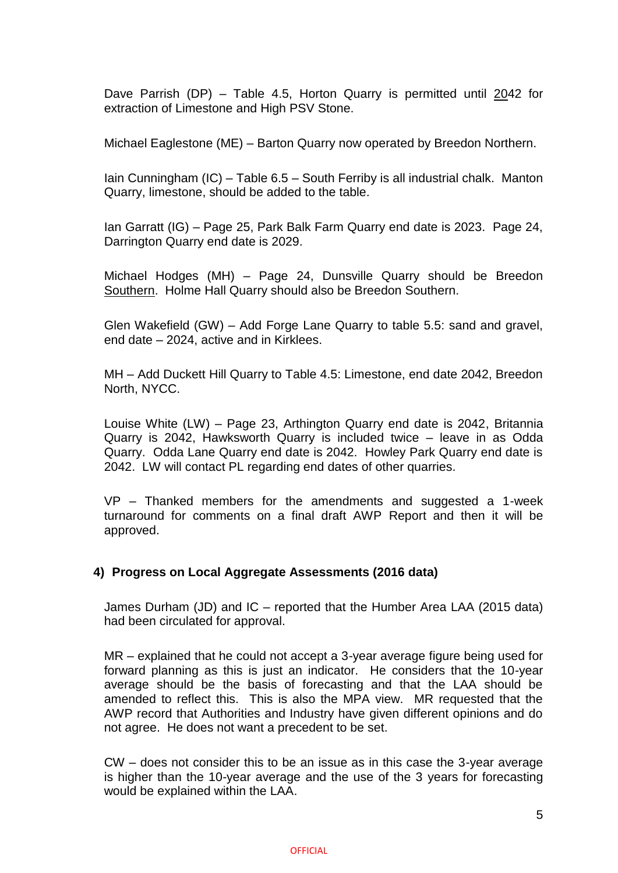Dave Parrish (DP) – Table 4.5, Horton Quarry is permitted until 2042 for extraction of Limestone and High PSV Stone.

Michael Eaglestone (ME) – Barton Quarry now operated by Breedon Northern.

Iain Cunningham (IC) – Table 6.5 – South Ferriby is all industrial chalk. Manton Quarry, limestone, should be added to the table.

Ian Garratt (IG) – Page 25, Park Balk Farm Quarry end date is 2023. Page 24, Darrington Quarry end date is 2029.

Michael Hodges (MH) – Page 24, Dunsville Quarry should be Breedon Southern. Holme Hall Quarry should also be Breedon Southern.

Glen Wakefield (GW) – Add Forge Lane Quarry to table 5.5: sand and gravel, end date – 2024, active and in Kirklees.

MH – Add Duckett Hill Quarry to Table 4.5: Limestone, end date 2042, Breedon North, NYCC.

Louise White (LW) – Page 23, Arthington Quarry end date is 2042, Britannia Quarry is 2042, Hawksworth Quarry is included twice – leave in as Odda Quarry. Odda Lane Quarry end date is 2042. Howley Park Quarry end date is 2042. LW will contact PL regarding end dates of other quarries.

VP – Thanked members for the amendments and suggested a 1-week turnaround for comments on a final draft AWP Report and then it will be approved.

#### **4) Progress on Local Aggregate Assessments (2016 data)**

James Durham (JD) and IC – reported that the Humber Area LAA (2015 data) had been circulated for approval.

MR – explained that he could not accept a 3-year average figure being used for forward planning as this is just an indicator. He considers that the 10-year average should be the basis of forecasting and that the LAA should be amended to reflect this. This is also the MPA view. MR requested that the AWP record that Authorities and Industry have given different opinions and do not agree. He does not want a precedent to be set.

CW – does not consider this to be an issue as in this case the 3-year average is higher than the 10-year average and the use of the 3 years for forecasting would be explained within the LAA.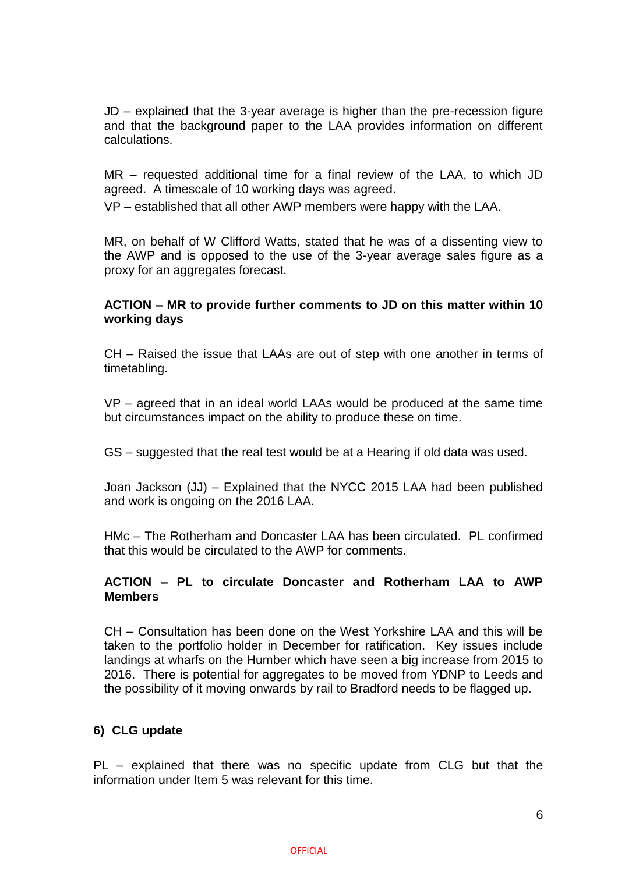JD – explained that the 3-year average is higher than the pre-recession figure and that the background paper to the LAA provides information on different calculations.

MR – requested additional time for a final review of the LAA, to which JD agreed. A timescale of 10 working days was agreed.

VP – established that all other AWP members were happy with the LAA.

MR, on behalf of W Clifford Watts, stated that he was of a dissenting view to the AWP and is opposed to the use of the 3-year average sales figure as a proxy for an aggregates forecast.

#### **ACTION – MR to provide further comments to JD on this matter within 10 working days**

CH – Raised the issue that LAAs are out of step with one another in terms of timetabling.

VP – agreed that in an ideal world LAAs would be produced at the same time but circumstances impact on the ability to produce these on time.

GS – suggested that the real test would be at a Hearing if old data was used.

Joan Jackson (JJ) – Explained that the NYCC 2015 LAA had been published and work is ongoing on the 2016 LAA.

HMc – The Rotherham and Doncaster LAA has been circulated. PL confirmed that this would be circulated to the AWP for comments.

#### **ACTION – PL to circulate Doncaster and Rotherham LAA to AWP Members**

CH – Consultation has been done on the West Yorkshire LAA and this will be taken to the portfolio holder in December for ratification. Key issues include landings at wharfs on the Humber which have seen a big increase from 2015 to 2016. There is potential for aggregates to be moved from YDNP to Leeds and the possibility of it moving onwards by rail to Bradford needs to be flagged up.

#### **6) CLG update**

PL – explained that there was no specific update from CLG but that the information under Item 5 was relevant for this time.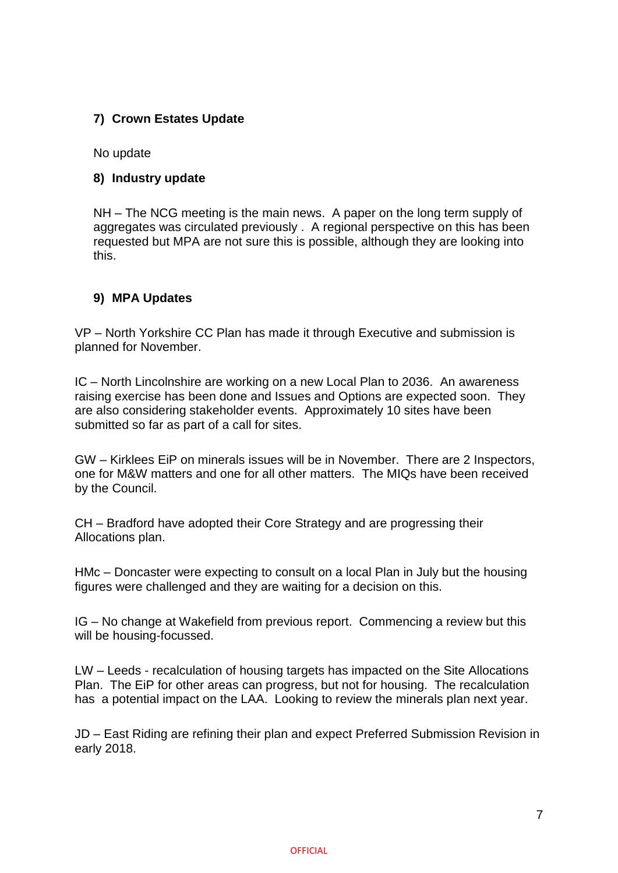## **7) Crown Estates Update**

No update

#### **8) Industry update**

NH – The NCG meeting is the main news. A paper on the long term supply of aggregates was circulated previously . A regional perspective on this has been requested but MPA are not sure this is possible, although they are looking into this.

#### **9) MPA Updates**

VP – North Yorkshire CC Plan has made it through Executive and submission is planned for November.

IC – North Lincolnshire are working on a new Local Plan to 2036. An awareness raising exercise has been done and Issues and Options are expected soon. They are also considering stakeholder events. Approximately 10 sites have been submitted so far as part of a call for sites.

GW – Kirklees EiP on minerals issues will be in November. There are 2 Inspectors, one for M&W matters and one for all other matters. The MIQs have been received by the Council.

CH – Bradford have adopted their Core Strategy and are progressing their Allocations plan.

HMc – Doncaster were expecting to consult on a local Plan in July but the housing figures were challenged and they are waiting for a decision on this.

IG – No change at Wakefield from previous report. Commencing a review but this will be housing-focussed.

LW – Leeds - recalculation of housing targets has impacted on the Site Allocations Plan. The EiP for other areas can progress, but not for housing. The recalculation has a potential impact on the LAA. Looking to review the minerals plan next year.

JD – East Riding are refining their plan and expect Preferred Submission Revision in early 2018.